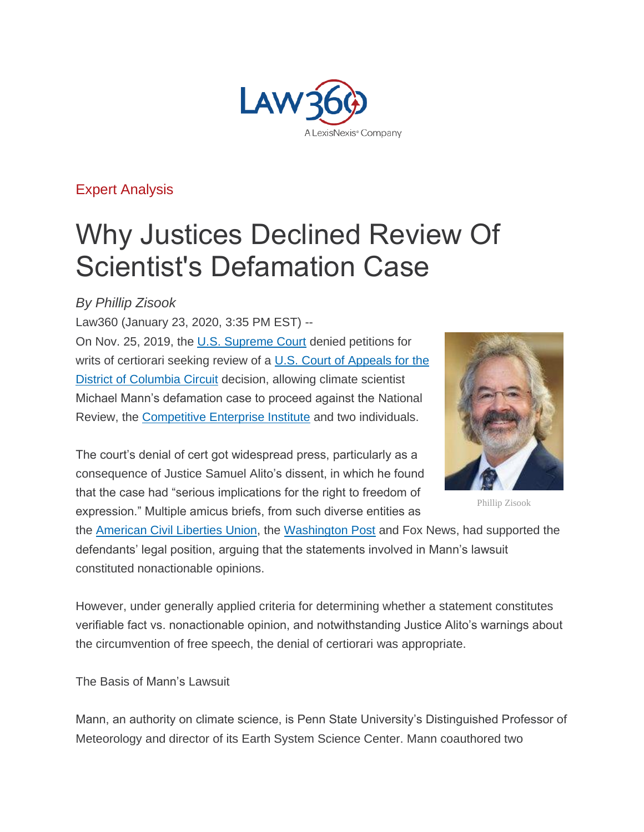

[Expert Analysis](https://www.law360.com/expertanalysis)

## Why Justices Declined Review Of Scientist's Defamation Case

## *By Phillip Zisook*

Law360 (January 23, 2020, 3:35 PM EST) -- On Nov. 25, 2019, the [U.S. Supreme Court](https://www.law360.com/agencies/u-s-supreme-court) denied petitions for writs of certiorari seeking review of a U.S. Court of Appeals for the **[District of Columbia Circuit](https://www.law360.com/agencies/u-s-court-of-appeals-for-the-district-of-columbia-circuit) decision, allowing climate scientist** Michael Mann's defamation case to proceed against the National Review, the [Competitive Enterprise Institute](https://www.law360.com/companies/competitive-enterprise-institute) and two individuals.

The court's denial of cert got widespread press, particularly as a consequence of Justice Samuel Alito's dissent, in which he found that the case had "serious implications for the right to freedom of expression." Multiple amicus briefs, from such diverse entities as



Phillip Zisook

the [American Civil Liberties Union,](https://www.law360.com/companies/american-civil-liberties-union) the [Washington Post](https://www.law360.com/companies/washington-post-co) and Fox News, had supported the defendants' legal position, arguing that the statements involved in Mann's lawsuit constituted nonactionable opinions.

However, under generally applied criteria for determining whether a statement constitutes verifiable fact vs. nonactionable opinion, and notwithstanding Justice Alito's warnings about the circumvention of free speech, the denial of certiorari was appropriate.

The Basis of Mann's Lawsuit

Mann, an authority on climate science, is Penn State University's Distinguished Professor of Meteorology and director of its Earth System Science Center. Mann coauthored two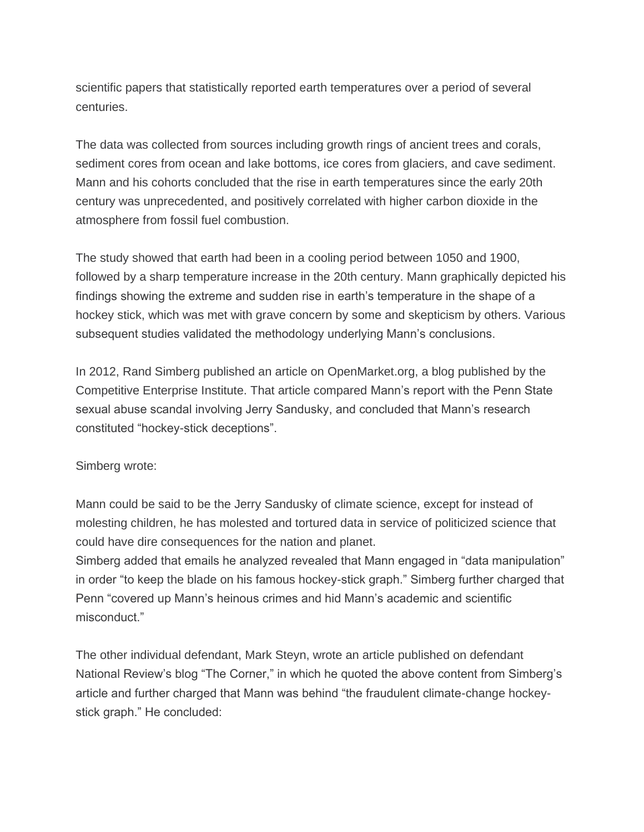scientific papers that statistically reported earth temperatures over a period of several centuries.

The data was collected from sources including growth rings of ancient trees and corals, sediment cores from ocean and lake bottoms, ice cores from glaciers, and cave sediment. Mann and his cohorts concluded that the rise in earth temperatures since the early 20th century was unprecedented, and positively correlated with higher carbon dioxide in the atmosphere from fossil fuel combustion.

The study showed that earth had been in a cooling period between 1050 and 1900, followed by a sharp temperature increase in the 20th century. Mann graphically depicted his findings showing the extreme and sudden rise in earth's temperature in the shape of a hockey stick, which was met with grave concern by some and skepticism by others. Various subsequent studies validated the methodology underlying Mann's conclusions.

In 2012, Rand Simberg published an article on OpenMarket.org, a blog published by the Competitive Enterprise Institute. That article compared Mann's report with the Penn State sexual abuse scandal involving Jerry Sandusky, and concluded that Mann's research constituted "hockey-stick deceptions".

Simberg wrote:

Mann could be said to be the Jerry Sandusky of climate science, except for instead of molesting children, he has molested and tortured data in service of politicized science that could have dire consequences for the nation and planet.

Simberg added that emails he analyzed revealed that Mann engaged in "data manipulation" in order "to keep the blade on his famous hockey-stick graph." Simberg further charged that Penn "covered up Mann's heinous crimes and hid Mann's academic and scientific misconduct."

The other individual defendant, Mark Steyn, wrote an article published on defendant National Review's blog "The Corner," in which he quoted the above content from Simberg's article and further charged that Mann was behind "the fraudulent climate-change hockeystick graph." He concluded: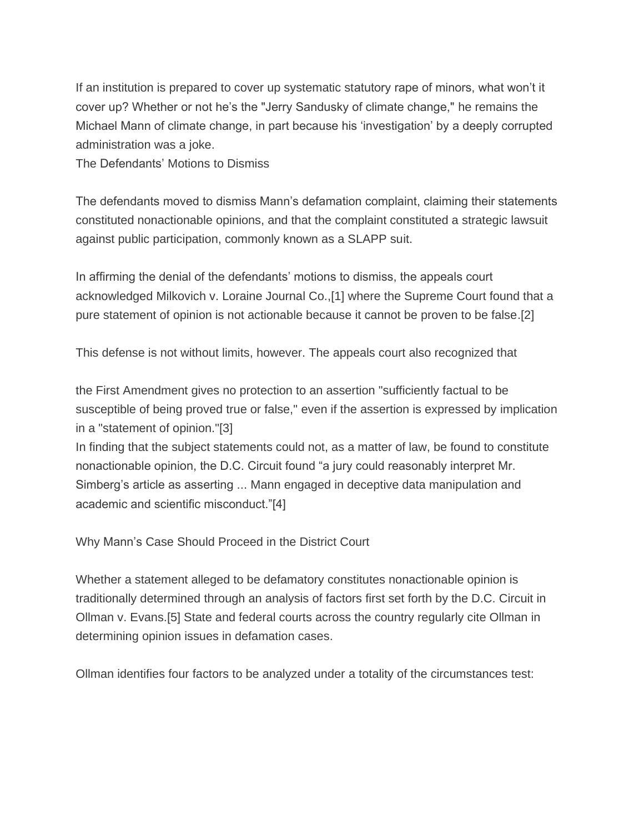If an institution is prepared to cover up systematic statutory rape of minors, what won't it cover up? Whether or not he's the "Jerry Sandusky of climate change," he remains the Michael Mann of climate change, in part because his 'investigation' by a deeply corrupted administration was a joke.

The Defendants' Motions to Dismiss

The defendants moved to dismiss Mann's defamation complaint, claiming their statements constituted nonactionable opinions, and that the complaint constituted a strategic lawsuit against public participation, commonly known as a SLAPP suit.

In affirming the denial of the defendants' motions to dismiss, the appeals court acknowledged Milkovich v. Loraine Journal Co.,[1] where the Supreme Court found that a pure statement of opinion is not actionable because it cannot be proven to be false.[2]

This defense is not without limits, however. The appeals court also recognized that

the First Amendment gives no protection to an assertion "sufficiently factual to be susceptible of being proved true or false," even if the assertion is expressed by implication in a "statement of opinion."[3]

In finding that the subject statements could not, as a matter of law, be found to constitute nonactionable opinion, the D.C. Circuit found "a jury could reasonably interpret Mr. Simberg's article as asserting ... Mann engaged in deceptive data manipulation and academic and scientific misconduct."[4]

Why Mann's Case Should Proceed in the District Court

Whether a statement alleged to be defamatory constitutes nonactionable opinion is traditionally determined through an analysis of factors first set forth by the D.C. Circuit in Ollman v. Evans.[5] State and federal courts across the country regularly cite Ollman in determining opinion issues in defamation cases.

Ollman identifies four factors to be analyzed under a totality of the circumstances test: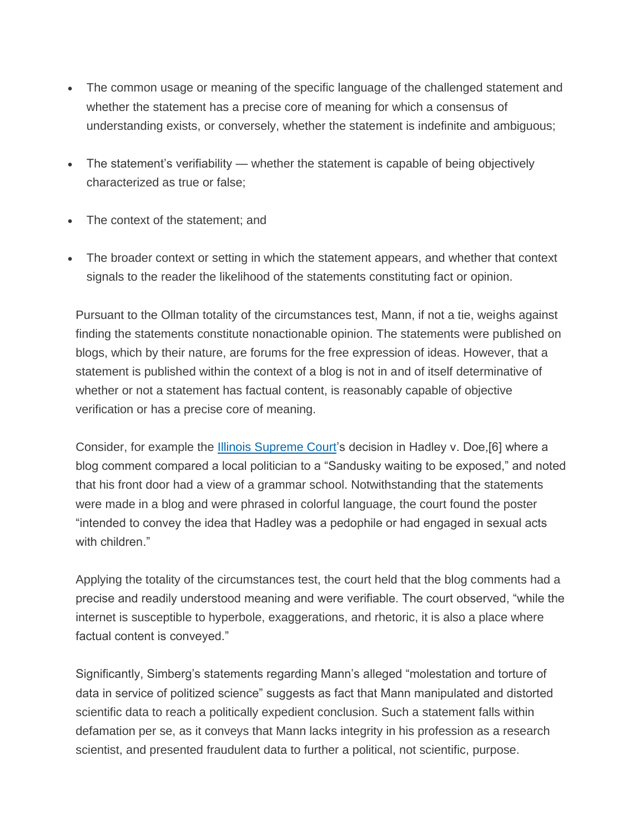- The common usage or meaning of the specific language of the challenged statement and whether the statement has a precise core of meaning for which a consensus of understanding exists, or conversely, whether the statement is indefinite and ambiguous;
- The statement's verifiability whether the statement is capable of being objectively characterized as true or false;
- The context of the statement; and
- The broader context or setting in which the statement appears, and whether that context signals to the reader the likelihood of the statements constituting fact or opinion.

Pursuant to the Ollman totality of the circumstances test, Mann, if not a tie, weighs against finding the statements constitute nonactionable opinion. The statements were published on blogs, which by their nature, are forums for the free expression of ideas. However, that a statement is published within the context of a blog is not in and of itself determinative of whether or not a statement has factual content, is reasonably capable of objective verification or has a precise core of meaning.

Consider, for example the [Illinois Supreme Court'](https://www.law360.com/agencies/illinois-supreme-court)s decision in Hadley v. Doe,[6] where a blog comment compared a local politician to a "Sandusky waiting to be exposed," and noted that his front door had a view of a grammar school. Notwithstanding that the statements were made in a blog and were phrased in colorful language, the court found the poster "intended to convey the idea that Hadley was a pedophile or had engaged in sexual acts with children."

Applying the totality of the circumstances test, the court held that the blog comments had a precise and readily understood meaning and were verifiable. The court observed, "while the internet is susceptible to hyperbole, exaggerations, and rhetoric, it is also a place where factual content is conveyed."

Significantly, Simberg's statements regarding Mann's alleged "molestation and torture of data in service of politized science" suggests as fact that Mann manipulated and distorted scientific data to reach a politically expedient conclusion. Such a statement falls within defamation per se, as it conveys that Mann lacks integrity in his profession as a research scientist, and presented fraudulent data to further a political, not scientific, purpose.